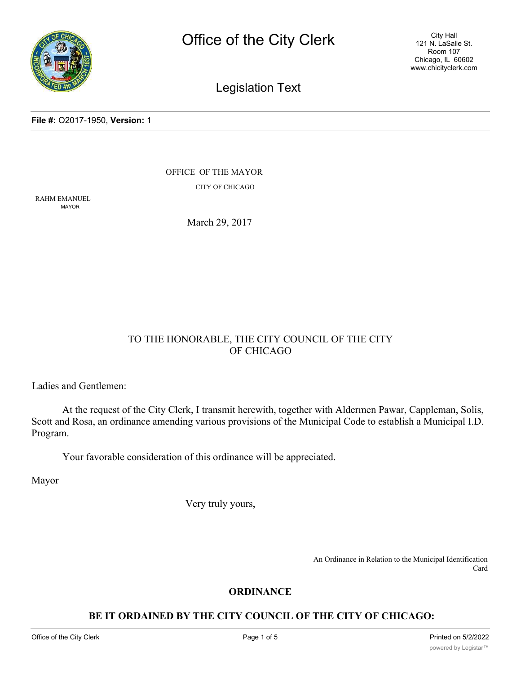

Legislation Text

#### **File #:** O2017-1950, **Version:** 1

OFFICE OF THE MAYOR

CITY OF CHICAGO

RAHM EMANUEL MAYOR

March 29, 2017

# TO THE HONORABLE, THE CITY COUNCIL OF THE CITY OF CHICAGO

Ladies and Gentlemen:

At the request of the City Clerk, I transmit herewith, together with Aldermen Pawar, Cappleman, Solis, Scott and Rosa, an ordinance amending various provisions of the Municipal Code to establish a Municipal I.D. Program.

Your favorable consideration of this ordinance will be appreciated.

Mayor

Very truly yours,

An Ordinance in Relation to the Municipal Identification Card

## **ORDINANCE**

# **BE IT ORDAINED BY THE CITY COUNCIL OF THE CITY OF CHICAGO:**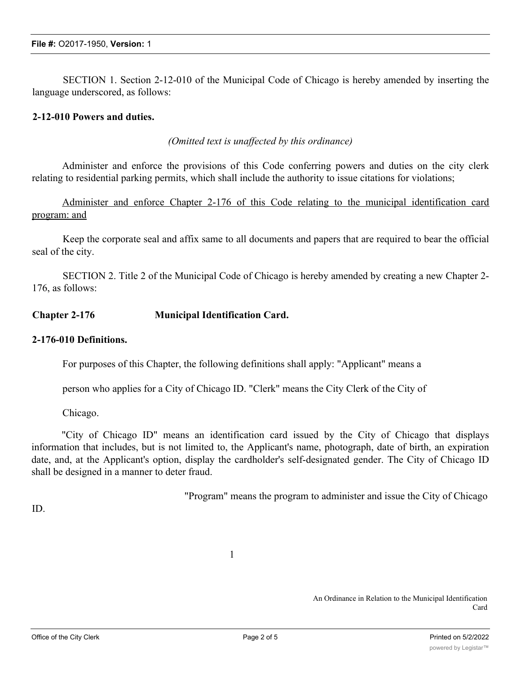SECTION 1. Section 2-12-010 of the Municipal Code of Chicago is hereby amended by inserting the language underscored, as follows:

# **2-12-010 Powers and duties.**

*(Omitted text is unaffected by this ordinance)*

Administer and enforce the provisions of this Code conferring powers and duties on the city clerk relating to residential parking permits, which shall include the authority to issue citations for violations;

Administer and enforce Chapter 2-176 of this Code relating to the municipal identification card program: and

Keep the corporate seal and affix same to all documents and papers that are required to bear the official seal of the city.

SECTION 2. Title 2 of the Municipal Code of Chicago is hereby amended by creating a new Chapter 2- 176, as follows:

## **Chapter 2-176 Municipal Identification Card.**

## **2-176-010 Definitions.**

For purposes of this Chapter, the following definitions shall apply: "Applicant" means a

person who applies for a City of Chicago ID. "Clerk" means the City Clerk of the City of

Chicago.

"City of Chicago ID" means an identification card issued by the City of Chicago that displays information that includes, but is not limited to, the Applicant's name, photograph, date of birth, an expiration date, and, at the Applicant's option, display the cardholder's self-designated gender. The City of Chicago ID shall be designed in a manner to deter fraud.

"Program" means the program to administer and issue the City of Chicago

ID.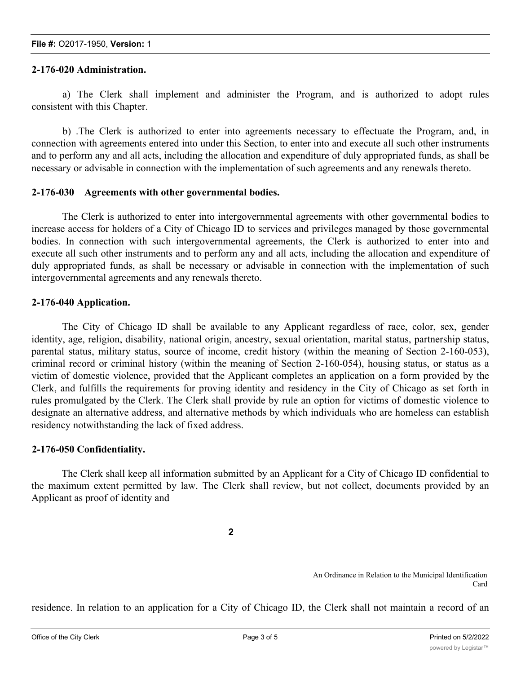## **2-176-020 Administration.**

a) The Clerk shall implement and administer the Program, and is authorized to adopt rules consistent with this Chapter.

b) .The Clerk is authorized to enter into agreements necessary to effectuate the Program, and, in connection with agreements entered into under this Section, to enter into and execute all such other instruments and to perform any and all acts, including the allocation and expenditure of duly appropriated funds, as shall be necessary or advisable in connection with the implementation of such agreements and any renewals thereto.

### **2-176-030 Agreements with other governmental bodies.**

The Clerk is authorized to enter into intergovernmental agreements with other governmental bodies to increase access for holders of a City of Chicago ID to services and privileges managed by those governmental bodies. In connection with such intergovernmental agreements, the Clerk is authorized to enter into and execute all such other instruments and to perform any and all acts, including the allocation and expenditure of duly appropriated funds, as shall be necessary or advisable in connection with the implementation of such intergovernmental agreements and any renewals thereto.

### **2-176-040 Application.**

The City of Chicago ID shall be available to any Applicant regardless of race, color, sex, gender identity, age, religion, disability, national origin, ancestry, sexual orientation, marital status, partnership status, parental status, military status, source of income, credit history (within the meaning of Section 2-160-053), criminal record or criminal history (within the meaning of Section 2-160-054), housing status, or status as a victim of domestic violence, provided that the Applicant completes an application on a form provided by the Clerk, and fulfills the requirements for proving identity and residency in the City of Chicago as set forth in rules promulgated by the Clerk. The Clerk shall provide by rule an option for victims of domestic violence to designate an alternative address, and alternative methods by which individuals who are homeless can establish residency notwithstanding the lack of fixed address.

#### **2-176-050 Confidentiality.**

The Clerk shall keep all information submitted by an Applicant for a City of Chicago ID confidential to the maximum extent permitted by law. The Clerk shall review, but not collect, documents provided by an Applicant as proof of identity and

**2**

An Ordinance in Relation to the Municipal Identification Card

residence. In relation to an application for a City of Chicago ID, the Clerk shall not maintain a record of an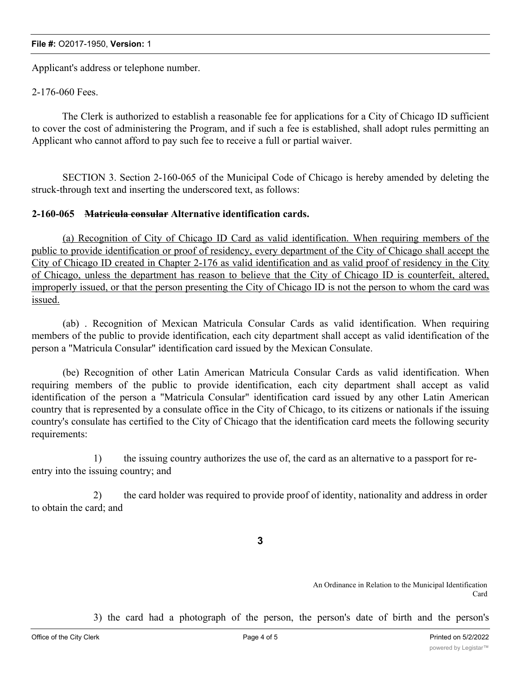#### **File #:** O2017-1950, **Version:** 1

Applicant's address or telephone number.

2-176-060 Fees.

The Clerk is authorized to establish a reasonable fee for applications for a City of Chicago ID sufficient to cover the cost of administering the Program, and if such a fee is established, shall adopt rules permitting an Applicant who cannot afford to pay such fee to receive a full or partial waiver.

SECTION 3. Section 2-160-065 of the Municipal Code of Chicago is hereby amended by deleting the struck-through text and inserting the underscored text, as follows:

### **2-160-065 Matricula consular Alternative identification cards.**

(a) Recognition of City of Chicago ID Card as valid identification. When requiring members of the public to provide identification or proof of residency, every department of the City of Chicago shall accept the City of Chicago ID created in Chapter 2-176 as valid identification and as valid proof of residency in the City of Chicago, unless the department has reason to believe that the City of Chicago ID is counterfeit, altered, improperly issued, or that the person presenting the City of Chicago ID is not the person to whom the card was issued.

(ab) . Recognition of Mexican Matricula Consular Cards as valid identification. When requiring members of the public to provide identification, each city department shall accept as valid identification of the person a "Matricula Consular" identification card issued by the Mexican Consulate.

(be) Recognition of other Latin American Matricula Consular Cards as valid identification. When requiring members of the public to provide identification, each city department shall accept as valid identification of the person a "Matricula Consular" identification card issued by any other Latin American country that is represented by a consulate office in the City of Chicago, to its citizens or nationals if the issuing country's consulate has certified to the City of Chicago that the identification card meets the following security requirements:

1) the issuing country authorizes the use of, the card as an alternative to a passport for reentry into the issuing country; and

2) the card holder was required to provide proof of identity, nationality and address in order to obtain the card; and

**3**

An Ordinance in Relation to the Municipal Identification Card

3) the card had a photograph of the person, the person's date of birth and the person's